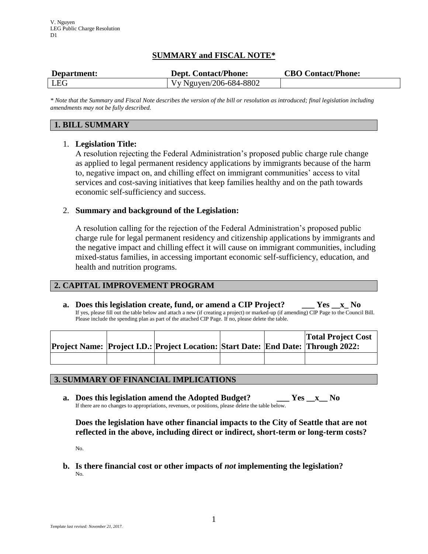# **SUMMARY and FISCAL NOTE\***

| Department: | <b>Dept. Contact/Phone:</b> | <b>CBO Contact/Phone:</b> |
|-------------|-----------------------------|---------------------------|
| LEG         | Vy Nguyen/206-684-8802      |                           |

*\* Note that the Summary and Fiscal Note describes the version of the bill or resolution as introduced; final legislation including amendments may not be fully described.*

# **1. BILL SUMMARY**

## 1. **Legislation Title:**

A resolution rejecting the Federal Administration's proposed public charge rule change as applied to legal permanent residency applications by immigrants because of the harm to, negative impact on, and chilling effect on immigrant communities' access to vital services and cost-saving initiatives that keep families healthy and on the path towards economic self-sufficiency and success.

## 2. **Summary and background of the Legislation:**

A resolution calling for the rejection of the Federal Administration's proposed public charge rule for legal permanent residency and citizenship applications by immigrants and the negative impact and chilling effect it will cause on immigrant communities, including mixed-status families, in accessing important economic self-sufficiency, education, and health and nutrition programs.

## **2. CAPITAL IMPROVEMENT PROGRAM**

**a. Does this legislation create, fund, or amend a CIP Project? \_\_\_ Yes \_\_x\_ No** If yes, please fill out the table below and attach a new (if creating a project) or marked-up (if amending) CIP Page to the Council Bill. Please include the spending plan as part of the attached CIP Page. If no, please delete the table.

|  | Project Name: Project I.D.: Project Location: Start Date: End Date: Through 2022: |  | <b>Total Project Cost</b> |
|--|-----------------------------------------------------------------------------------|--|---------------------------|
|  |                                                                                   |  |                           |

## **3. SUMMARY OF FINANCIAL IMPLICATIONS**

**a. Does this legislation amend the Adopted Budget? \_\_\_ Yes \_\_x\_\_ No** If there are no changes to appropriations, revenues, or positions, please delete the table below.

**Does the legislation have other financial impacts to the City of Seattle that are not reflected in the above, including direct or indirect, short-term or long-term costs?**

No.

**b. Is there financial cost or other impacts of** *not* **implementing the legislation?** No.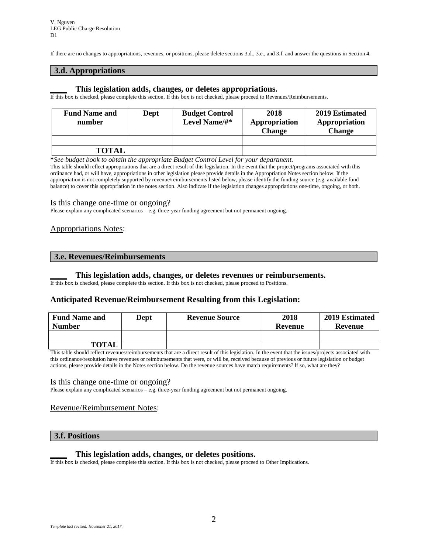If there are no changes to appropriations, revenues, or positions, please delete sections 3.d., 3.e., and 3.f. and answer the questions in Section 4.

### **3.d. Appropriations**

### **\_\_\_\_ This legislation adds, changes, or deletes appropriations.**

If this box is checked, please complete this section. If this box is not checked, please proceed to Revenues/Reimbursements.

| <b>Fund Name and</b><br>number | Dept | <b>Budget Control</b><br>Level Name/#* | 2018<br>Appropriation<br><b>Change</b> | 2019 Estimated<br>Appropriation<br><b>Change</b> |
|--------------------------------|------|----------------------------------------|----------------------------------------|--------------------------------------------------|
|                                |      |                                        |                                        |                                                  |
| <b>TOTAL</b>                   |      |                                        |                                        |                                                  |

**\****See budget book to obtain the appropriate Budget Control Level for your department.*

This table should reflect appropriations that are a direct result of this legislation. In the event that the project/programs associated with this ordinance had, or will have, appropriations in other legislation please provide details in the Appropriation Notes section below. If the appropriation is not completely supported by revenue/reimbursements listed below, please identify the funding source (e.g. available fund balance) to cover this appropriation in the notes section. Also indicate if the legislation changes appropriations one-time, ongoing, or both.

#### Is this change one-time or ongoing?

Please explain any complicated scenarios – e.g. three-year funding agreement but not permanent ongoing.

### Appropriations Notes:

#### **3.e. Revenues/Reimbursements**

#### **\_\_\_\_ This legislation adds, changes, or deletes revenues or reimbursements.**

If this box is checked, please complete this section. If this box is not checked, please proceed to Positions.

### **Anticipated Revenue/Reimbursement Resulting from this Legislation:**

| <b>Fund Name and</b><br><b>Number</b> | Dept | <b>Revenue Source</b> | 2018<br>Revenue | 2019 Estimated<br>Revenue |
|---------------------------------------|------|-----------------------|-----------------|---------------------------|
|                                       |      |                       |                 |                           |
| <b>TOTAL</b>                          |      |                       |                 |                           |

This table should reflect revenues/reimbursements that are a direct result of this legislation. In the event that the issues/projects associated with this ordinance/resolution have revenues or reimbursements that were, or will be, received because of previous or future legislation or budget actions, please provide details in the Notes section below. Do the revenue sources have match requirements? If so, what are they?

#### Is this change one-time or ongoing?

Please explain any complicated scenarios – e.g. three-year funding agreement but not permanent ongoing.

#### Revenue/Reimbursement Notes:

#### **3.f. Positions**

#### **\_\_\_\_ This legislation adds, changes, or deletes positions.**

If this box is checked, please complete this section. If this box is not checked, please proceed to Other Implications.